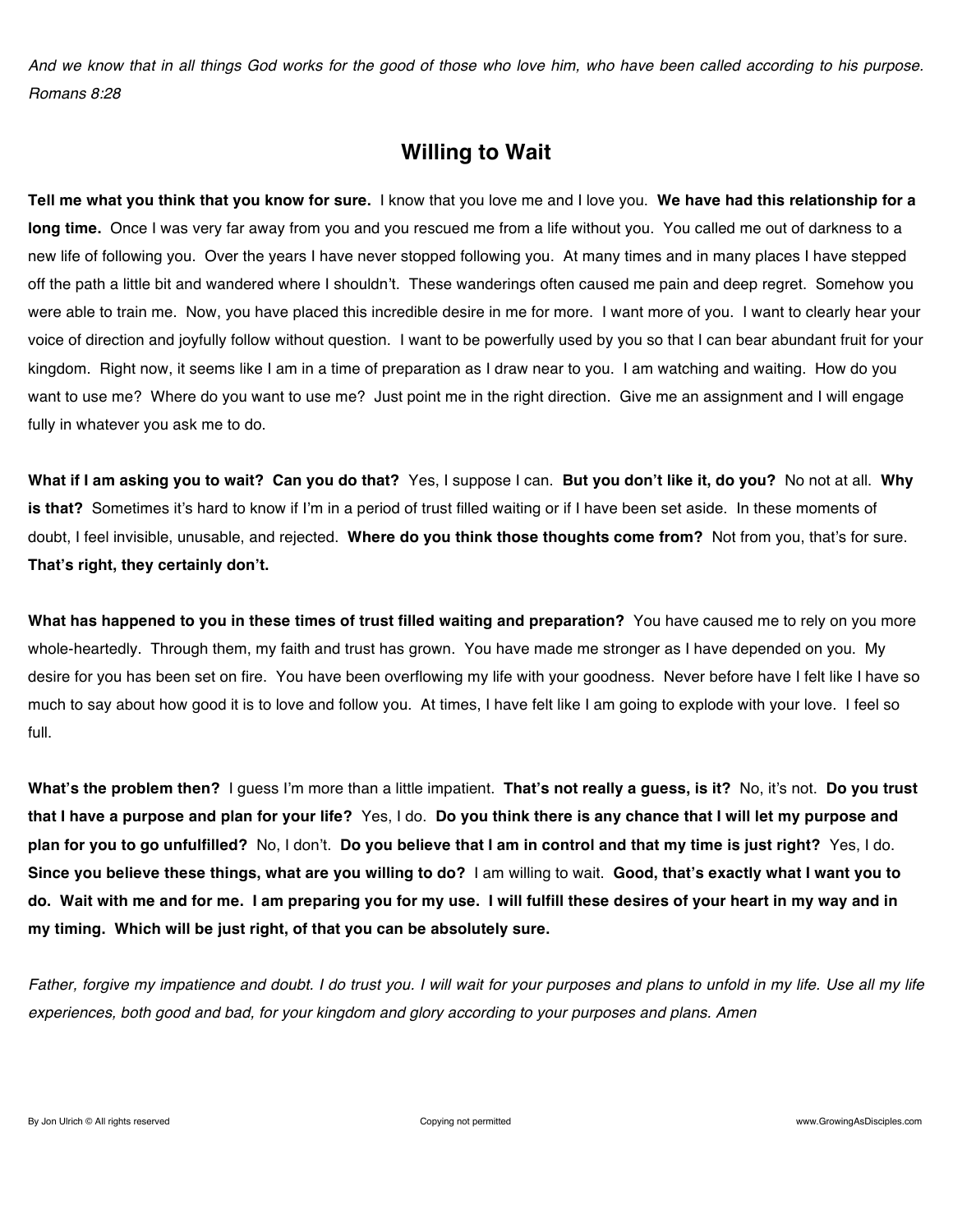*And we know that in all things God works for the good of those who love him, who have been called according to his purpose. Romans 8:28*

## **Willing to Wait**

**Tell me what you think that you know for sure.** I know that you love me and I love you. **We have had this relationship for a long time.** Once I was very far away from you and you rescued me from a life without you. You called me out of darkness to a new life of following you. Over the years I have never stopped following you. At many times and in many places I have stepped off the path a little bit and wandered where I shouldn't. These wanderings often caused me pain and deep regret. Somehow you were able to train me. Now, you have placed this incredible desire in me for more. I want more of you. I want to clearly hear your voice of direction and joyfully follow without question. I want to be powerfully used by you so that I can bear abundant fruit for your kingdom. Right now, it seems like I am in a time of preparation as I draw near to you. I am watching and waiting. How do you want to use me? Where do you want to use me? Just point me in the right direction. Give me an assignment and I will engage fully in whatever you ask me to do.

**What if I am asking you to wait? Can you do that?** Yes, I suppose I can. **But you don't like it, do you?** No not at all. **Why is that?** Sometimes it's hard to know if I'm in a period of trust filled waiting or if I have been set aside. In these moments of doubt, I feel invisible, unusable, and rejected. **Where do you think those thoughts come from?** Not from you, that's for sure. **That's right, they certainly don't.**

**What has happened to you in these times of trust filled waiting and preparation?** You have caused me to rely on you more whole-heartedly. Through them, my faith and trust has grown. You have made me stronger as I have depended on you. My desire for you has been set on fire. You have been overflowing my life with your goodness. Never before have I felt like I have so much to say about how good it is to love and follow you. At times, I have felt like I am going to explode with your love. I feel so full.

**What's the problem then?** I guess I'm more than a little impatient. **That's not really a guess, is it?** No, it's not. **Do you trust that I have a purpose and plan for your life?** Yes, I do. **Do you think there is any chance that I will let my purpose and plan for you to go unfulfilled?** No, I don't. **Do you believe that I am in control and that my time is just right?** Yes, I do. **Since you believe these things, what are you willing to do?** I am willing to wait. **Good, that's exactly what I want you to do. Wait with me and for me. I am preparing you for my use. I will fulfill these desires of your heart in my way and in my timing. Which will be just right, of that you can be absolutely sure.**

*Father, forgive my impatience and doubt. I do trust you. I will wait for your purposes and plans to unfold in my life. Use all my life experiences, both good and bad, for your kingdom and glory according to your purposes and plans. Amen*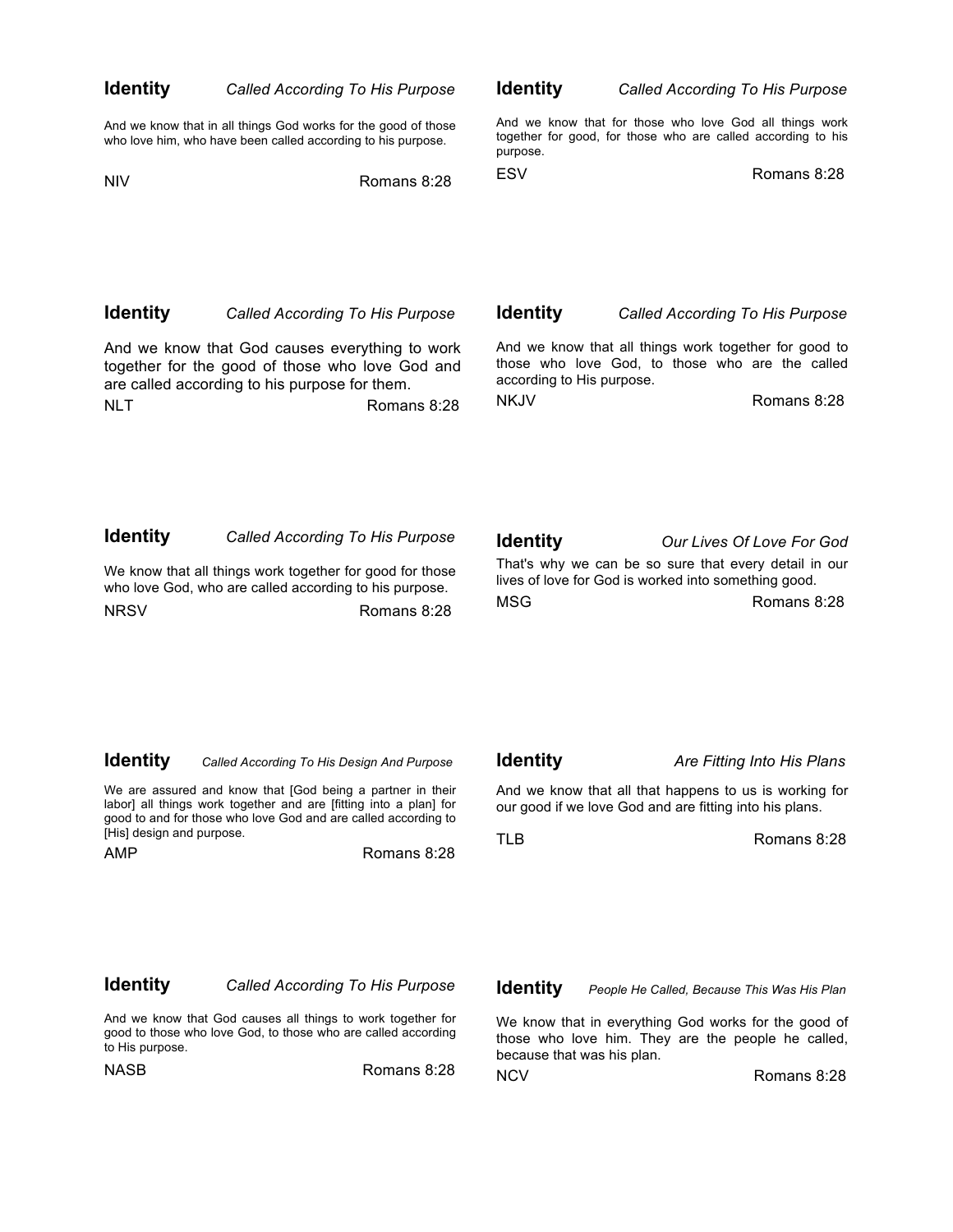| <b>Identity</b>                  | Called According To His Purpose                                                                                                                                                                                                                 | <b>Identity</b>               | <b>Called According To His Purpose</b>                                                                                                                    |  |
|----------------------------------|-------------------------------------------------------------------------------------------------------------------------------------------------------------------------------------------------------------------------------------------------|-------------------------------|-----------------------------------------------------------------------------------------------------------------------------------------------------------|--|
|                                  | And we know that in all things God works for the good of those<br>who love him, who have been called according to his purpose.                                                                                                                  | purpose.                      | And we know that for those who love God all things work<br>together for good, for those who are called according to his                                   |  |
| NIV                              | Romans 8:28                                                                                                                                                                                                                                     | <b>ESV</b>                    | Romans 8:28                                                                                                                                               |  |
|                                  |                                                                                                                                                                                                                                                 |                               |                                                                                                                                                           |  |
| Identity                         | <b>Called According To His Purpose</b>                                                                                                                                                                                                          | <b>Identity</b>               | Called According To His Purpose                                                                                                                           |  |
|                                  | And we know that God causes everything to work<br>together for the good of those who love God and<br>are called according to his purpose for them.                                                                                              |                               | And we know that all things work together for good to<br>those who love God, to those who are the called<br>according to His purpose.                     |  |
| NLT                              | Romans 8:28                                                                                                                                                                                                                                     | <b>NKJV</b>                   | Romans 8:28                                                                                                                                               |  |
| ldentity<br>NRSV                 | <b>Called According To His Purpose</b><br>We know that all things work together for good for those<br>who love God, who are called according to his purpose.<br>Romans 8:28                                                                     | <b>Identity</b><br><b>MSG</b> | Our Lives Of Love For God<br>That's why we can be so sure that every detail in our<br>lives of love for God is worked into something good.<br>Romans 8:28 |  |
| Identity                         | Called According To His Design And Purpose<br>We are assured and know that [God being a partner in their<br>labor] all things work together and are [fitting into a plan] for<br>good to and for those who love God and are called according to | <b>Identity</b>               | Are Fitting Into His Plans<br>And we know that all that happens to us is working for<br>our good if we love God and are fitting into his plans.           |  |
| [His] design and purpose.<br>AMP | Romans 8:28                                                                                                                                                                                                                                     | TLB                           | Romans 8:28                                                                                                                                               |  |
|                                  |                                                                                                                                                                                                                                                 |                               |                                                                                                                                                           |  |

### **Identity** *Called According To His Purpose*

And we know that God causes all things to work together for good to those who love God, to those who are called according to His purpose.

NASB Romans 8:28

**Identity** *People He Called, Because This Was His Plan*

We know that in everything God works for the good of those who love him. They are the people he called, because that was his plan.

NCVRomans 8:28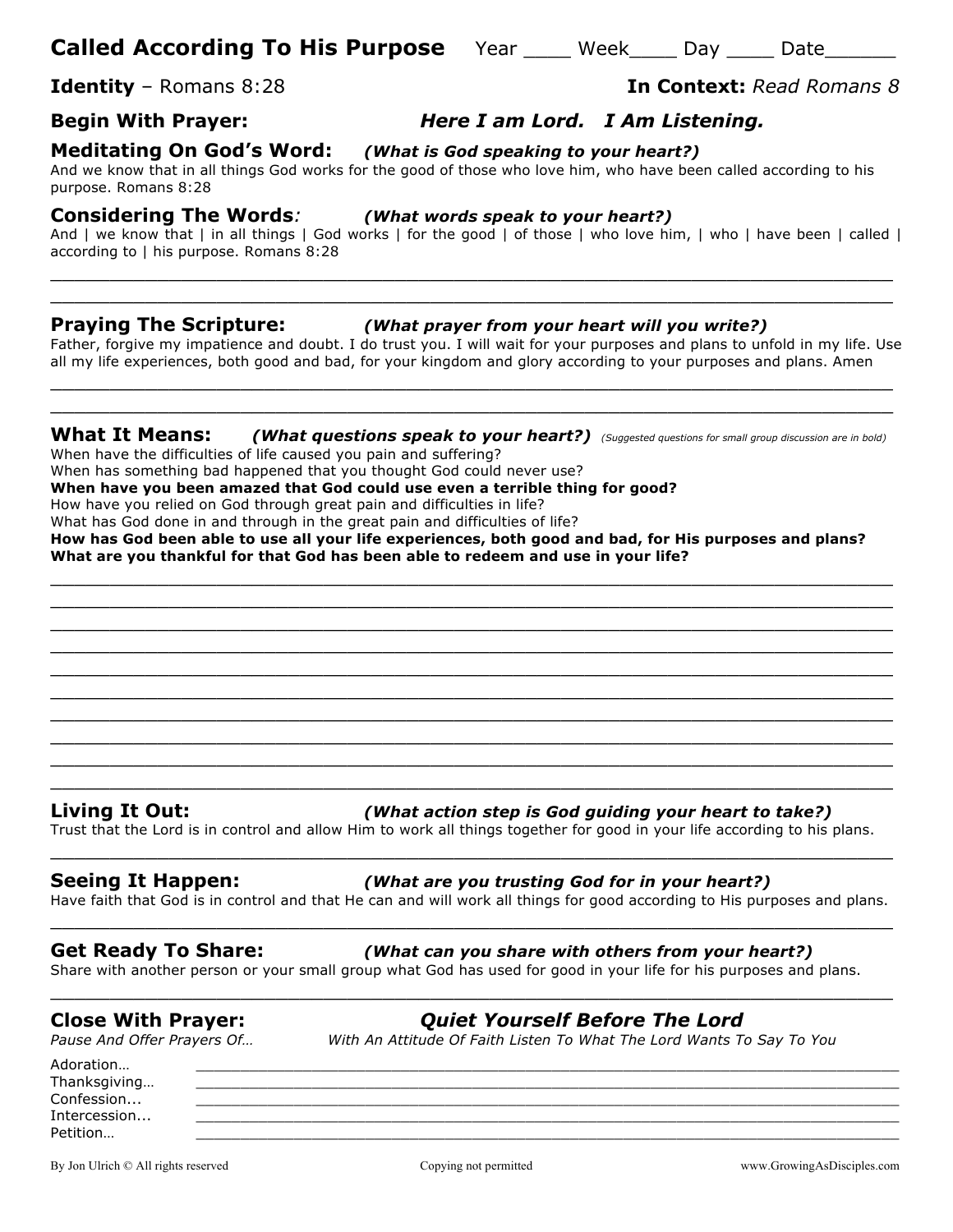## **Called According To His Purpose** Year \_\_\_\_ Week\_\_\_\_ Day \_\_\_\_ Date\_\_\_\_\_\_

## **Begin With Prayer:** *Here I am Lord. I Am Listening.*

**Meditating On God's Word:** *(What is God speaking to your heart?)*And we know that in all things God works for the good of those who love him, who have been called according to his purpose. Romans 8:28

### **Considering The Words***: (What words speak to your heart?)*

And I we know that I in all things I God works I for the good I of those I who love him, I who I have been I called I according to | his purpose. Romans 8:28

 $\_$  , and the set of the set of the set of the set of the set of the set of the set of the set of the set of the set of the set of the set of the set of the set of the set of the set of the set of the set of the set of th  $\_$  , and the set of the set of the set of the set of the set of the set of the set of the set of the set of the set of the set of the set of the set of the set of the set of the set of the set of the set of the set of th

### **Praying The Scripture:** *(What prayer from your heart will you write?)*

Father, forgive my impatience and doubt. I do trust you. I will wait for your purposes and plans to unfold in my life. Use all my life experiences, both good and bad, for your kingdom and glory according to your purposes and plans. Amen  $\_$  , and the set of the set of the set of the set of the set of the set of the set of the set of the set of the set of the set of the set of the set of the set of the set of the set of the set of the set of the set of th

### **What It Means:** *(What questions speak to your heart?) (Suggested questions for small group discussion are in bold)*

 $\_$  , and the set of the set of the set of the set of the set of the set of the set of the set of the set of the set of the set of the set of the set of the set of the set of the set of the set of the set of the set of th

When have the difficulties of life caused you pain and suffering?

When has something bad happened that you thought God could never use?

**When have you been amazed that God could use even a terrible thing for good?**

How have you relied on God through great pain and difficulties in life?

What has God done in and through in the great pain and difficulties of life?

**How has God been able to use all your life experiences, both good and bad, for His purposes and plans? What are you thankful for that God has been able to redeem and use in your life?**

 $\_$  , and the set of the set of the set of the set of the set of the set of the set of the set of the set of the set of the set of the set of the set of the set of the set of the set of the set of the set of the set of th  $\_$  , and the set of the set of the set of the set of the set of the set of the set of the set of the set of the set of the set of the set of the set of the set of the set of the set of the set of the set of the set of th  $\_$  , and the set of the set of the set of the set of the set of the set of the set of the set of the set of the set of the set of the set of the set of the set of the set of the set of the set of the set of the set of th  $\_$  , and the set of the set of the set of the set of the set of the set of the set of the set of the set of the set of the set of the set of the set of the set of the set of the set of the set of the set of the set of th  $\_$  , and the set of the set of the set of the set of the set of the set of the set of the set of the set of the set of the set of the set of the set of the set of the set of the set of the set of the set of the set of th  $\_$  , and the set of the set of the set of the set of the set of the set of the set of the set of the set of the set of the set of the set of the set of the set of the set of the set of the set of the set of the set of th  $\_$  , and the set of the set of the set of the set of the set of the set of the set of the set of the set of the set of the set of the set of the set of the set of the set of the set of the set of the set of the set of th  $\_$  , and the set of the set of the set of the set of the set of the set of the set of the set of the set of the set of the set of the set of the set of the set of the set of the set of the set of the set of the set of th  $\_$  , and the set of the set of the set of the set of the set of the set of the set of the set of the set of the set of the set of the set of the set of the set of the set of the set of the set of the set of the set of th  $\_$  , and the set of the set of the set of the set of the set of the set of the set of the set of the set of the set of the set of the set of the set of the set of the set of the set of the set of the set of the set of th

### **Living It Out:** *(What action step is God guiding your heart to take?)*

Trust that the Lord is in control and allow Him to work all things together for good in your life according to his plans.  $\_$  , and the set of the set of the set of the set of the set of the set of the set of the set of the set of the set of the set of the set of the set of the set of the set of the set of the set of the set of the set of th

### **Seeing It Happen:** *(What are you trusting God for in your heart?)*

Have faith that God is in control and that He can and will work all things for good according to His purposes and plans.  $\_$  , and the set of the set of the set of the set of the set of the set of the set of the set of the set of the set of the set of the set of the set of the set of the set of the set of the set of the set of the set of th

### **Get Ready To Share:** *(What can you share with others from your heart?)*

Share with another person or your small group what God has used for good in your life for his purposes and plans.

 $\_$  , and the set of the set of the set of the set of the set of the set of the set of the set of the set of the set of the set of the set of the set of the set of the set of the set of the set of the set of the set of th

# **Close With Prayer:** *Quiet Yourself Before The Lord*

*Pause And Offer Prayers Of… With An Attitude Of Faith Listen To What The Lord Wants To Say To You*

Adoration… \_\_\_\_\_\_\_\_\_\_\_\_\_\_\_\_\_\_\_\_\_\_\_\_\_\_\_\_\_\_\_\_\_\_\_\_\_\_\_\_\_\_\_\_\_\_\_\_\_\_\_\_\_\_\_\_\_\_\_\_\_\_\_\_\_\_\_\_\_\_\_\_\_\_\_\_\_\_\_ Thanksgiving... Confession... \_\_\_\_\_\_\_\_\_\_\_\_\_\_\_\_\_\_\_\_\_\_\_\_\_\_\_\_\_\_\_\_\_\_\_\_\_\_\_\_\_\_\_\_\_\_\_\_\_\_\_\_\_\_\_\_\_\_\_\_\_\_\_\_\_\_\_\_\_\_\_\_\_\_\_\_\_\_\_ Intercession... \_\_\_\_\_\_\_\_\_\_\_\_\_\_\_\_\_\_\_\_\_\_\_\_\_\_\_\_\_\_\_\_\_\_\_\_\_\_\_\_\_\_\_\_\_\_\_\_\_\_\_\_\_\_\_\_\_\_\_\_\_\_\_\_\_\_\_\_\_\_\_\_\_\_\_\_\_\_\_ Petition… \_\_\_\_\_\_\_\_\_\_\_\_\_\_\_\_\_\_\_\_\_\_\_\_\_\_\_\_\_\_\_\_\_\_\_\_\_\_\_\_\_\_\_\_\_\_\_\_\_\_\_\_\_\_\_\_\_\_\_\_\_\_\_\_\_\_\_\_\_\_\_\_\_\_\_\_\_\_\_

By Jon Ulrich © All rights reserved compared Copying not permitted www.GrowingAsDisciples.com

## **Identity** – Romans 8:28 **In Context:** *Read Romans 8*